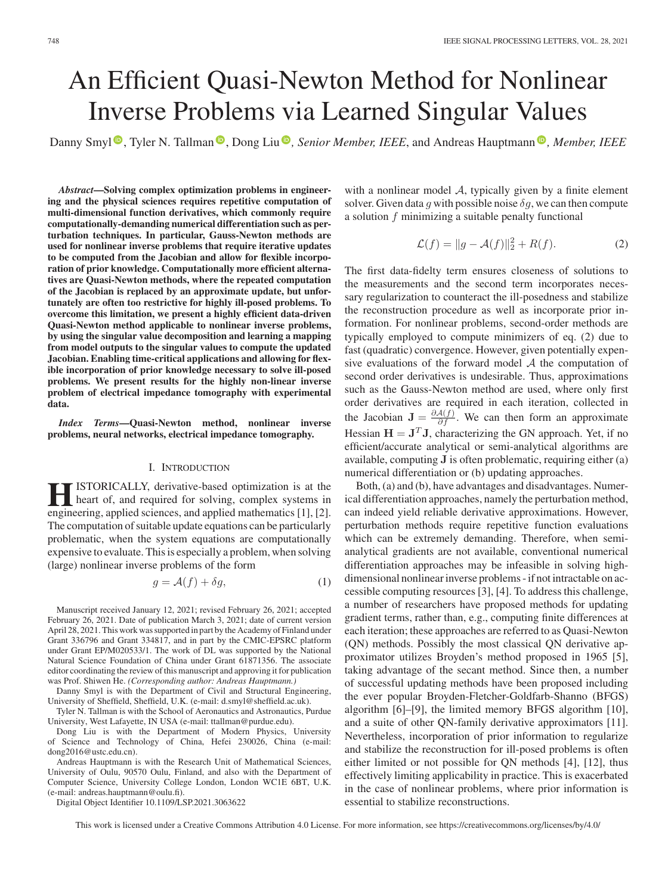# An Efficient Quasi-Newton Method for Nonlinear Inverse Problems via Learned Singular Values

Danny Smyl<sup>®</sup>[,](https://orcid.org/0000-0002-3756-8121) Tyler N. Tallman<sup>®</sup>, Dong Liu<sup>®</sup>, Senior Member, IEEE, and Andreas Hauptmann<sup>®</sup>, Member, IEEE

*Abstract***—Solving complex optimization problems in engineering and the physical sciences requires repetitive computation of multi-dimensional function derivatives, which commonly require computationally-demanding numerical differentiation such as perturbation techniques. In particular, Gauss-Newton methods are used for nonlinear inverse problems that require iterative updates to be computed from the Jacobian and allow for flexible incorporation of prior knowledge. Computationally more efficient alternatives are Quasi-Newton methods, where the repeated computation of the Jacobian is replaced by an approximate update, but unfortunately are often too restrictive for highly ill-posed problems. To overcome this limitation, we present a highly efficient data-driven Quasi-Newton method applicable to nonlinear inverse problems, by using the singular value decomposition and learning a mapping from model outputs to the singular values to compute the updated Jacobian. Enabling time-critical applications and allowing for flexible incorporation of prior knowledge necessary to solve ill-posed problems. We present results for the highly non-linear inverse problem of electrical impedance tomography with experimental data.**

*Index Terms***—Quasi-Newton method, nonlinear inverse problems, neural networks, electrical impedance tomography.**

### I. INTRODUCTION

**HI**ISTORICALLY, derivative-based optimization is at the heart of, and required for solving, complex systems in engineering applied sciences and applied mathematics [1] [2] engineering, applied sciences, and applied mathematics [1], [2]. The computation of suitable update equations can be particularly problematic, when the system equations are computationally expensive to evaluate. This is especially a problem, when solving (large) nonlinear inverse problems of the form

$$
g = \mathcal{A}(f) + \delta g,\tag{1}
$$

Manuscript received January 12, 2021; revised February 26, 2021; accepted February 26, 2021. Date of publication March 3, 2021; date of current version April 28, 2021. This work was supported in part by the Academy of Finland under Grant 336796 and Grant 334817, and in part by the CMIC-EPSRC platform under Grant EP/M020533/1. The work of DL was supported by the National Natural Science Foundation of China under Grant 61871356. The associate editor coordinating the review of this manuscript and approving it for publication was Prof. Shiwen He. *(Corresponding author: Andreas Hauptmann.)*

Danny Smyl is with the Department of Civil and Structural Engineering, University of Sheffield, Sheffield, U.K. (e-mail: [d.smyl@sheffield.ac.uk\)](mailto:d.smyl@sheffield.ac.uk).

Tyler N. Tallman is with the School of Aeronautics and Astronautics, Purdue University, West Lafayette, IN USA (e-mail: [ttallman@purdue.edu\)](mailto:ttallman@purdue.edu).

Dong Liu is with the Department of Modern Physics, University of Science and Technology of China, Hefei 230026, China (e-mail: [dong2016@ustc.edu.cn\)](mailto:dong2016@ustc.edu.cn).

Andreas Hauptmann is with the Research Unit of Mathematical Sciences, University of Oulu, 90570 Oulu, Finland, and also with the Department of Computer Science, University College London, London WC1E 6BT, U.K. (e-mail: [andreas.hauptmann@oulu.fi\)](mailto:andreas.hauptmann@oulu.fi).

Digital Object Identifier 10.1109/LSP.2021.3063622

with a nonlinear model  $A$ , typically given by a finite element solver. Given data g with possible noise  $\delta g$ , we can then compute a solution f minimizing a suitable penalty functional

$$
\mathcal{L}(f) = ||g - \mathcal{A}(f)||_2^2 + R(f).
$$
 (2)

The first data-fidelty term ensures closeness of solutions to the measurements and the second term incorporates necessary regularization to counteract the ill-posedness and stabilize the reconstruction procedure as well as incorporate prior information. For nonlinear problems, second-order methods are typically employed to compute minimizers of eq. (2) due to fast (quadratic) convergence. However, given potentially expensive evaluations of the forward model  $A$  the computation of second order derivatives is undesirable. Thus, approximations such as the Gauss-Newton method are used, where only first order derivatives are required in each iteration, collected in the Jacobian  $\mathbf{J} = \frac{\partial A(f)}{\partial f}$ . We can then form an approximate Hessian  $H = J<sup>T</sup>J$ , characterizing the GN approach. Yet, if no efficient/accurate analytical or semi-analytical algorithms are available, computing **J** is often problematic, requiring either (a) numerical differentiation or (b) updating approaches.

Both, (a) and (b), have advantages and disadvantages. Numerical differentiation approaches, namely the perturbation method, can indeed yield reliable derivative approximations. However, perturbation methods require repetitive function evaluations which can be extremely demanding. Therefore, when semianalytical gradients are not available, conventional numerical differentiation approaches may be infeasible in solving highdimensional nonlinear inverse problems - if not intractable on accessible computing resources [3], [4]. To address this challenge, a number of researchers have proposed methods for updating gradient terms, rather than, e.g., computing finite differences at each iteration; these approaches are referred to as Quasi-Newton (QN) methods. Possibly the most classical QN derivative approximator utilizes Broyden's method proposed in 1965 [5], taking advantage of the secant method. Since then, a number of successful updating methods have been proposed including the ever popular Broyden-Fletcher-Goldfarb-Shanno (BFGS) algorithm [6]–[9], the limited memory BFGS algorithm [10], and a suite of other QN-family derivative approximators [11]. Nevertheless, incorporation of prior information to regularize and stabilize the reconstruction for ill-posed problems is often either limited or not possible for QN methods [4], [12], thus effectively limiting applicability in practice. This is exacerbated in the case of nonlinear problems, where prior information is essential to stabilize reconstructions.

This work is licensed under a Creative Commons Attribution 4.0 License. For more information, see https://creativecommons.org/licenses/by/4.0/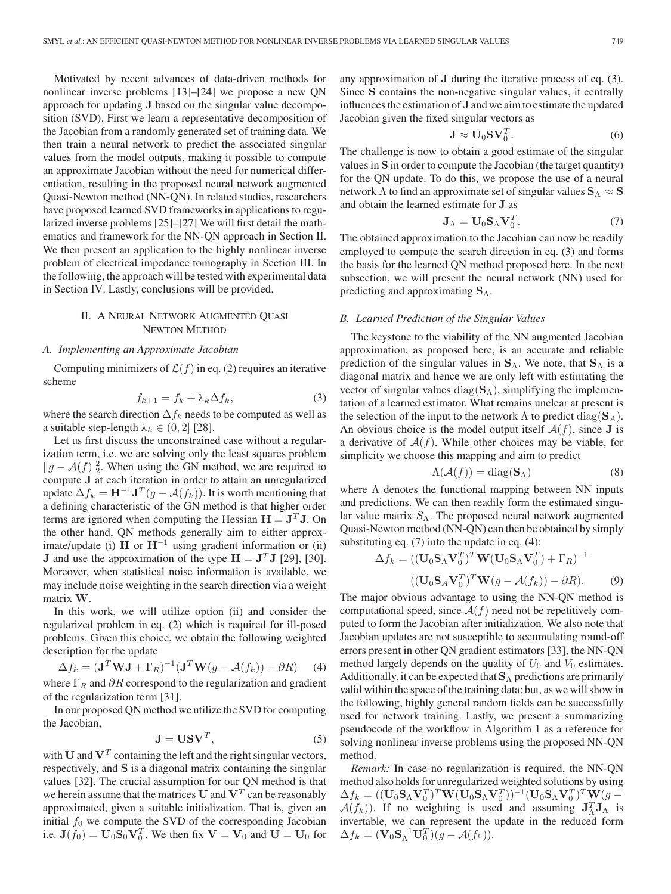Motivated by recent advances of data-driven methods for nonlinear inverse problems [13]–[24] we propose a new QN approach for updating **J** based on the singular value decomposition (SVD). First we learn a representative decomposition of the Jacobian from a randomly generated set of training data. We then train a neural network to predict the associated singular values from the model outputs, making it possible to compute an approximate Jacobian without the need for numerical differentiation, resulting in the proposed neural network augmented Quasi-Newton method (NN-QN). In related studies, researchers have proposed learned SVD frameworks in applications to regularized inverse problems [25]–[27] We will first detail the mathematics and framework for the NN-QN approach in Section II. We then present an application to the highly nonlinear inverse problem of electrical impedance tomography in Section III. In the following, the approach will be tested with experimental data in Section IV. Lastly, conclusions will be provided.

## II. A NEURAL NETWORK AUGMENTED QUASI NEWTON METHOD

## *A. Implementing an Approximate Jacobian*

Computing minimizers of  $\mathcal{L}(f)$  in eq. (2) requires an iterative scheme

$$
f_{k+1} = f_k + \lambda_k \Delta f_k,\tag{3}
$$

where the search direction  $\Delta f_k$  needs to be computed as well as a suitable step-length  $\lambda_k \in (0, 2]$  [28] a suitable step-length  $\lambda_k \in (0, 2]$  [28].

Let us first discuss the unconstrained case without a regularization term, i.e. we are solving only the least squares problem  $||g - A(f)||_2^2$ . When using the GN method, we are required to compute 1 at each iteration in order to attain an unregularized compute **J** at each iteration in order to attain an unregularized update  $\Delta f_k = \mathbf{H}^{-1} \mathbf{J}^T (g - A(f_k))$ . It is worth mentioning that a defining characteristic of the GN method is that higher order terms are ignored when computing the Hessian  $H = J<sup>T</sup>J$ . On the other hand, QN methods generally aim to either approximate/update (i) **H** or **H**−<sup>1</sup> using gradient information or (ii) **J** and use the approximation of the type  $H = J<sup>T</sup>J$  [29], [30]. Moreover, when statistical noise information is available, we may include noise weighting in the search direction via a weight matrix **W**.

In this work, we will utilize option (ii) and consider the regularized problem in eq. (2) which is required for ill-posed problems. Given this choice, we obtain the following weighted description for the update

$$
\Delta f_k = (\mathbf{J}^T \mathbf{W} \mathbf{J} + \Gamma_R)^{-1} (\mathbf{J}^T \mathbf{W} (g - A(f_k)) - \partial R)
$$
 (4)

where  $\Gamma_R$  and  $\partial R$  correspond to the regularization and gradient of the regularization term [31] of the regularization term [31].

In our proposed QN method we utilize the SVD for computing the Jacobian,

$$
\mathbf{J} = \mathbf{U}\mathbf{S}\mathbf{V}^T,\tag{5}
$$

**, (5)<br>with <b>U** and  **containing the left and the right singular vectors,** respectively, and **S** is a diagonal matrix containing the singular values [32]. The crucial assumption for our QN method is that we herein assume that the matrices  $U$  and  $V<sup>T</sup>$  can be reasonably approximated, given a suitable initialization. That is, given an initial  $f_0$  we compute the SVD of the corresponding Jacobian i.e.  $\mathbf{J}(f_0) = \mathbf{U}_0 \mathbf{S}_0 \mathbf{V}_0^T$ . We then fix  $\mathbf{V} = \mathbf{V}_0$  and  $\mathbf{U} = \mathbf{U}_0$  for

any approximation of **J** during the iterative process of eq. (3). Since **S** contains the non-negative singular values, it centrally influences the estimation of **J** and we aim to estimate the updated Jacobian given the fixed singular vectors as

$$
\mathbf{J} \approx \mathbf{U}_0 \mathbf{S} \mathbf{V}_0^T. \tag{6}
$$

 $J \approx U_0 S V_0^T$ . (6)<br>The challenge is now to obtain a good estimate of the singular values in **S** in order to compute the Jacobian (the target quantity) for the QN update. To do this, we propose the use of a neural network  $\Lambda$  to find an approximate set of singular values  $S_\Lambda \approx S$ and obtain the learned estimate for **J** as

$$
\mathbf{J}_{\Lambda} = \mathbf{U}_0 \mathbf{S}_{\Lambda} \mathbf{V}_0^T. \tag{7}
$$

 $J_A = U_0 S_A V_0^T$ . (7)<br>The obtained approximation to the Jacobian can now be readily employed to compute the search direction in eq. (3) and forms the basis for the learned QN method proposed here. In the next subsection, we will present the neural network (NN) used for predicting and approximating **S**Λ.

### *B. Learned Prediction of the Singular Values*

The keystone to the viability of the NN augmented Jacobian approximation, as proposed here, is an accurate and reliable prediction of the singular values in **S**Λ. We note, that **S**<sup>Λ</sup> is a diagonal matrix and hence we are only left with estimating the vector of singular values diag(**S**Λ), simplifying the implementation of a learned estimator. What remains unclear at present is the selection of the input to the network  $\Lambda$  to predict diag( $\mathbf{S}_{A}$ ). An obvious choice is the model output itself  $A(f)$ , since **J** is a derivative of  $A(f)$ . While other choices may be viable, for simplicity we choose this mapping and aim to predict

$$
\Lambda(\mathcal{A}(f)) = \text{diag}(\mathbf{S}_{\Lambda})
$$
\n(8)

 $\Lambda(\mathcal{A}(f)) = \text{diag}(\mathbf{S}_{\Lambda})$  (8)<br>where  $\Lambda$  denotes the functional mapping between NN inputs and predictions. We can then readily form the estimated singular value matrix  $S_{\Lambda}$ . The proposed neural network augmented Quasi-Newton method (NN-QN) can then be obtained by simply substituting eq. (7) into the update in eq. (4):

$$
\Delta f_k = ((\mathbf{U}_0 \mathbf{S}_\Lambda \mathbf{V}_0^T)^T \mathbf{W} (\mathbf{U}_0 \mathbf{S}_\Lambda \mathbf{V}_0^T) + \Gamma_R)^{-1}
$$
  

$$
((\mathbf{U}_0 \mathbf{S}_A \mathbf{V}_0^T)^T \mathbf{W} (g - \mathcal{A}(f_k)) - \partial R).
$$
 (9)  
The major obvious advantage to using the NN-QN method is

computational speed, since  $A(f)$  need not be repetitively computed to form the Jacobian after initialization. We also note that Jacobian updates are not susceptible to accumulating round-off errors present in other QN gradient estimators [33], the NN-QN method largely depends on the quality of  $U_0$  and  $V_0$  estimates. Additionally, it can be expected that**S**<sup>Λ</sup> predictions are primarily valid within the space of the training data; but, as we will show in the following, highly general random fields can be successfully used for network training. Lastly, we present a summarizing pseudocode of the workflow in Algorithm 1 as a reference for solving nonlinear inverse problems using the proposed NN-QN method.

*Remark:* In case no regularization is required, the NN-QN method also holds for unregularized weighted solutions by using  $\Delta f_k = ((\mathbf{U}_0 \mathbf{S}_\Lambda \mathbf{V}_0^T)^T \mathbf{W} (\mathbf{U}_0 \mathbf{S}_\Lambda \mathbf{V}_0^T))^{-1} (\mathbf{U}_0 \mathbf{S}_\Lambda \mathbf{V}_0^T)^T \mathbf{W} (g - \Delta(f, \cdot))$  If no weighting is used and assuming  $\mathbf{I}^T \mathbf{I}_\Lambda$  is  $\mathcal{A}(f_k)$ ). If no weighting is used and assuming  $\mathbf{J}_\Lambda^T \mathbf{J}_\Lambda$  is<br>invertable we can represent the update in the reduced form invertable, we can represent the update in the reduced form  $\Delta f_k = (\mathbf{V}_0 \mathbf{S}_{\Lambda}^{-1} \mathbf{U}_0^T) (\mathbf{g} - \mathcal{A}(f_k)).$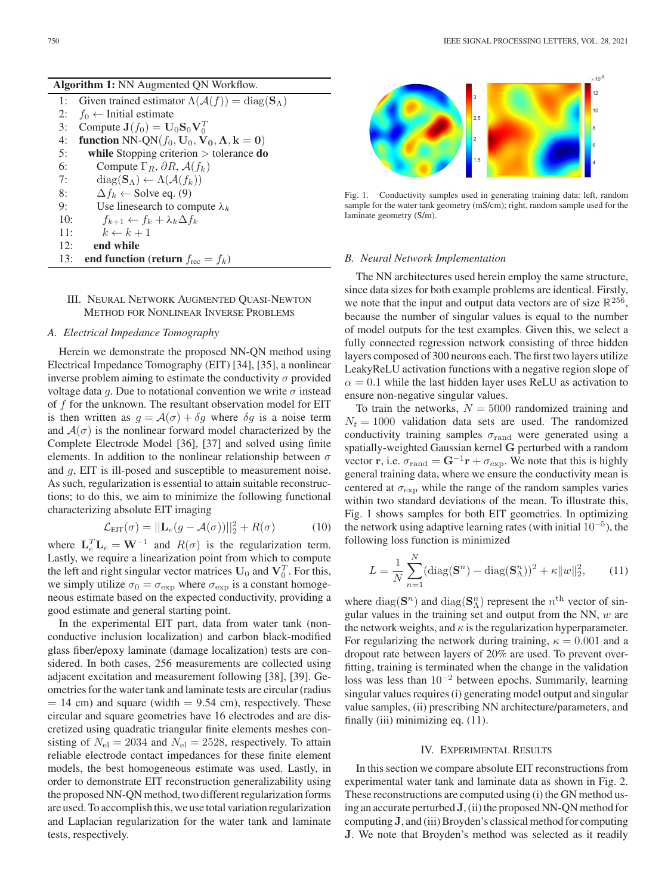| <b>Algorithm 1:</b> NN Augmented QN Workflow. |                                                                                                                   |  |  |
|-----------------------------------------------|-------------------------------------------------------------------------------------------------------------------|--|--|
| 1:                                            | Given trained estimator $\Lambda(\mathcal{A}(f)) = \text{diag}(\mathbf{S}_{\Lambda})$                             |  |  |
| 2:                                            | $f_0 \leftarrow$ Initial estimate                                                                                 |  |  |
| 3:                                            | Compute $J(f_0) = U_0 S_0 V_0^T$                                                                                  |  |  |
| 4:                                            | <b>function</b> NN-QN( $f_0$ , $\mathbf{U}_0$ , $\mathbf{V}_0$ , $\mathbf{\Lambda}$ , $\mathbf{k} = \mathbf{0}$ ) |  |  |
| 5:                                            | while Stopping criterion $>$ tolerance do                                                                         |  |  |
| 6:                                            | Compute $\Gamma_R$ , $\partial R$ , $\mathcal{A}(f_k)$                                                            |  |  |
| 7:                                            | $diag(\mathbf{S}_{\Lambda}) \leftarrow \Lambda(\mathcal{A}(f_k))$                                                 |  |  |
| 8:                                            | $\Delta f_k \leftarrow$ Solve eq. (9)                                                                             |  |  |
| 9:                                            | Use linesearch to compute $\lambda_k$                                                                             |  |  |
| 10:                                           | $f_{k+1} \leftarrow f_k + \lambda_k \Delta f_k$                                                                   |  |  |
| 11:                                           | $k \leftarrow k+1$                                                                                                |  |  |
| 12:                                           | end while                                                                                                         |  |  |
| 13:                                           | end function (return $f_{\text{rec}} = f_k$ )                                                                     |  |  |
|                                               |                                                                                                                   |  |  |

## III. NEURAL NETWORK AUGMENTED QUASI-NEWTON METHOD FOR NONLINEAR INVERSE PROBLEMS

## *A. Electrical Impedance Tomography*

Herein we demonstrate the proposed NN-QN method using Electrical Impedance Tomography (EIT) [34], [35], a nonlinear inverse problem aiming to estimate the conductivity  $\sigma$  provided voltage data g. Due to notational convention we write  $\sigma$  instead of  $f$  for the unknown. The resultant observation model for EIT is then written as  $g = \mathcal{A}(\sigma) + \delta g$  where  $\delta g$  is a noise term and  $A(\sigma)$  is the nonlinear forward model characterized by the Complete Electrode Model [36], [37] and solved using finite elements. In addition to the nonlinear relationship between  $\sigma$ and g, EIT is ill-posed and susceptible to measurement noise. As such, regularization is essential to attain suitable reconstructions; to do this, we aim to minimize the following functional characterizing absolute EIT imaging

$$
\mathcal{L}_{\text{EIT}}(\sigma) = ||\mathbf{L}_e(g - \mathcal{A}(\sigma))||_2^2 + R(\sigma)
$$
 (10)

where  $\mathbf{L}_e^T \mathbf{L}_e = \mathbf{W}^{-1}$  and  $R(\sigma)$  is the regularization term.<br>Lastly we require a linearization point from which to compute Lastly, we require a linearization point from which to compute the left and right singular vector matrices  $U_0$  and  $V_0^T$ . For this, we simply utilize  $\sigma_0 = \sigma_{\exp}$  where  $\sigma_{\exp}$  is a constant homogeneous estimate based on the expected conductivity, providing a good estimate and general starting point.

In the experimental EIT part, data from water tank (nonconductive inclusion localization) and carbon black-modified glass fiber/epoxy laminate (damage localization) tests are considered. In both cases, 256 measurements are collected using adjacent excitation and measurement following [38], [39]. Geometries for the water tank and laminate tests are circular (radius  $= 14$  cm) and square (width  $= 9.54$  cm), respectively. These circular and square geometries have 16 electrodes and are discretized using quadratic triangular finite elements meshes consisting of  $N_{\text{el}} = 2034$  and  $N_{\text{el}} = 2528$ , respectively. To attain reliable electrode contact impedances for these finite element models, the best homogeneous estimate was used. Lastly, in order to demonstrate EIT reconstruction generalizability using the proposed NN-QN method, two different regularization forms are used. To accomplish this, we use total variation regularization and Laplacian regularization for the water tank and laminate tests, respectively.



Fig. 1. Conductivity samples used in generating training data: left, random sample for the water tank geometry (mS/cm); right, random sample used for the laminate geometry (S/m).

#### *B. Neural Network Implementation*

The NN architectures used herein employ the same structure, since data sizes for both example problems are identical. Firstly, we note that the input and output data vectors are of size  $\mathbb{R}^{256}$ , because the number of singular values is equal to the number of model outputs for the test examples. Given this, we select a fully connected regression network consisting of three hidden layers composed of 300 neurons each. The first two layers utilize LeakyReLU activation functions with a negative region slope of  $\alpha = 0.1$  while the last hidden layer uses ReLU as activation to ensure non-negative singular values.

To train the networks,  $N = 5000$  randomized training and  $N_t = 1000$  validation data sets are used. The randomized conductivity training samples  $\sigma_{\text{rand}}$  were generated using a spatially-weighted Gaussian kernel **G** perturbed with a random vector **r**, i.e.  $\sigma_{\text{rand}} = \mathbf{G}^{-1}\mathbf{r} + \sigma_{\text{exp}}$ . We note that this is highly general training data, where we ensure the conductivity mean is centered at  $\sigma_{\text{exp}}$  while the range of the random samples varies within two standard deviations of the mean. To illustrate this, Fig. 1 shows samples for both EIT geometries. In optimizing the network using adaptive learning rates (with initial  $10^{-5}$ ), the following loss function is minimized

$$
L = \frac{1}{N} \sum_{n=1}^{N} (\text{diag}(\mathbf{S}^n) - \text{diag}(\mathbf{S}^n_{\Lambda}))^2 + \kappa ||w||_2^2, \qquad (11)
$$

where diag( $\mathbf{S}^n$ ) and diag( $\mathbf{S}^n_\Lambda$ ) represent the  $n^{\text{th}}$  vector of sin-<br>qular values in the training set and output from the NN *au* are gular values in the training set and output from the NN,  $w$  are the network weights, and  $\kappa$  is the regularization hyperparameter. For regularizing the network during training,  $\kappa = 0.001$  and a dropout rate between layers of 20% are used. To prevent overfitting, training is terminated when the change in the validation loss was less than 10−<sup>2</sup> between epochs. Summarily, learning singular values requires (i) generating model output and singular value samples, (ii) prescribing NN architecture/parameters, and finally (iii) minimizing eq.  $(11)$ .

#### IV. EXPERIMENTAL RESULTS

In this section we compare absolute EIT reconstructions from experimental water tank and laminate data as shown in Fig. 2. These reconstructions are computed using (i) the GN method using an accurate perturbed**J**, (ii) the proposed NN-QN method for computing **J**, and (iii) Broyden's classical method for computing **J**. We note that Broyden's method was selected as it readily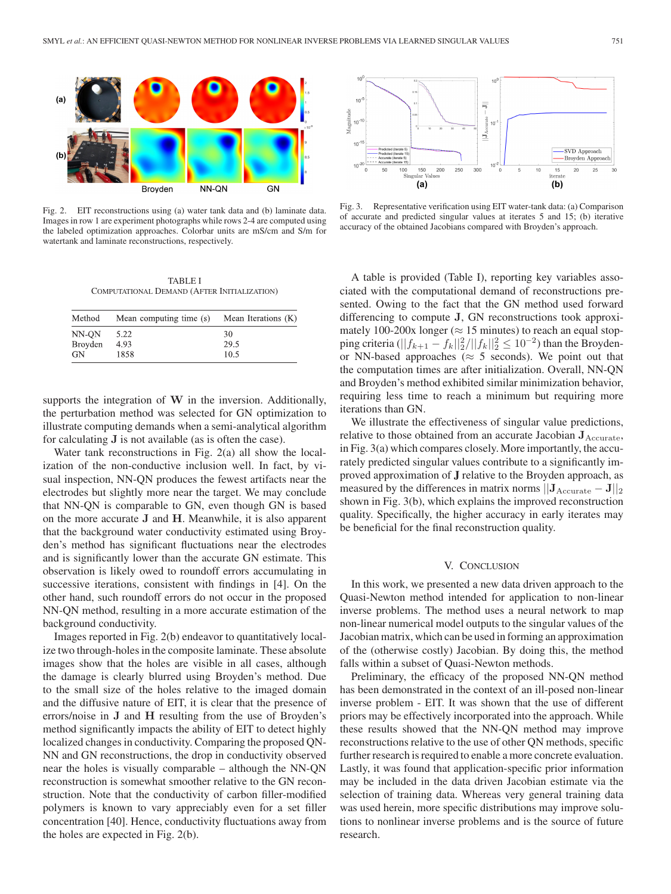

Fig. 2. EIT reconstructions using (a) water tank data and (b) laminate data. Images in row 1 are experiment photographs while rows 2-4 are computed using the labeled optimization approaches. Colorbar units are mS/cm and S/m for watertank and laminate reconstructions, respectively.

TABLE I COMPUTATIONAL DEMAND (AFTER INITIALIZATION)

| Method  | Mean computing time (s) | Mean Iterations (K) |
|---------|-------------------------|---------------------|
| NN-ON   | 5.22                    | 30                  |
| Broyden | 4.93                    | 29.5                |
| GN      | 1858                    | 10.5                |

supports the integration of **W** in the inversion. Additionally, the perturbation method was selected for GN optimization to illustrate computing demands when a semi-analytical algorithm for calculating **J** is not available (as is often the case).

Water tank reconstructions in Fig. 2(a) all show the localization of the non-conductive inclusion well. In fact, by visual inspection, NN-QN produces the fewest artifacts near the electrodes but slightly more near the target. We may conclude that NN-QN is comparable to GN, even though GN is based on the more accurate **J** and **H**. Meanwhile, it is also apparent that the background water conductivity estimated using Broyden's method has significant fluctuations near the electrodes and is significantly lower than the accurate GN estimate. This observation is likely owed to roundoff errors accumulating in successive iterations, consistent with findings in [4]. On the other hand, such roundoff errors do not occur in the proposed NN-QN method, resulting in a more accurate estimation of the background conductivity.

Images reported in Fig. 2(b) endeavor to quantitatively localize two through-holes in the composite laminate. These absolute images show that the holes are visible in all cases, although the damage is clearly blurred using Broyden's method. Due to the small size of the holes relative to the imaged domain and the diffusive nature of EIT, it is clear that the presence of errors/noise in **J** and **H** resulting from the use of Broyden's method significantly impacts the ability of EIT to detect highly localized changes in conductivity. Comparing the proposed QN-NN and GN reconstructions, the drop in conductivity observed near the holes is visually comparable – although the NN-QN reconstruction is somewhat smoother relative to the GN reconstruction. Note that the conductivity of carbon filler-modified polymers is known to vary appreciably even for a set filler concentration [40]. Hence, conductivity fluctuations away from the holes are expected in Fig. 2(b).



Fig. 3. Representative verification using EIT water-tank data: (a) Comparison of accurate and predicted singular values at iterates 5 and 15; (b) iterative accuracy of the obtained Jacobians compared with Broyden's approach.

A table is provided (Table I), reporting key variables associated with the computational demand of reconstructions presented. Owing to the fact that the GN method used forward differencing to compute **J**, GN reconstructions took approximately 100-200x longer ( $\approx$  15 minutes) to reach an equal stopping criteria  $(||f_{k+1} - f_k||_2^2/||f_k||_2^2 \le 10^{-2})$  than the Broyden-<br>or NN-based approaches  $(z, 5 \text{ seconds})$ . We point out that or NN-based approaches ( $\approx$  5 seconds). We point out that the computation times are after initialization. Overall, NN-QN and Broyden's method exhibited similar minimization behavior, requiring less time to reach a minimum but requiring more iterations than GN.

We illustrate the effectiveness of singular value predictions, relative to those obtained from an accurate Jacobian  $J_{\text{Accurate}}$ , in Fig. 3(a) which compares closely. More importantly, the accurately predicted singular values contribute to a significantly improved approximation of **J** relative to the Broyden approach, as measured by the differences in matrix norms  $||\mathbf{J}_{\text{Accurate}} - \mathbf{J}||_2$ shown in Fig. 3(b), which explains the improved reconstruction quality. Specifically, the higher accuracy in early iterates may be beneficial for the final reconstruction quality.

## V. CONCLUSION

In this work, we presented a new data driven approach to the Quasi-Newton method intended for application to non-linear inverse problems. The method uses a neural network to map non-linear numerical model outputs to the singular values of the Jacobian matrix, which can be used in forming an approximation of the (otherwise costly) Jacobian. By doing this, the method falls within a subset of Quasi-Newton methods.

Preliminary, the efficacy of the proposed NN-QN method has been demonstrated in the context of an ill-posed non-linear inverse problem - EIT. It was shown that the use of different priors may be effectively incorporated into the approach. While these results showed that the NN-QN method may improve reconstructions relative to the use of other QN methods, specific further research is required to enable a more concrete evaluation. Lastly, it was found that application-specific prior information may be included in the data driven Jacobian estimate via the selection of training data. Whereas very general training data was used herein, more specific distributions may improve solutions to nonlinear inverse problems and is the source of future research.